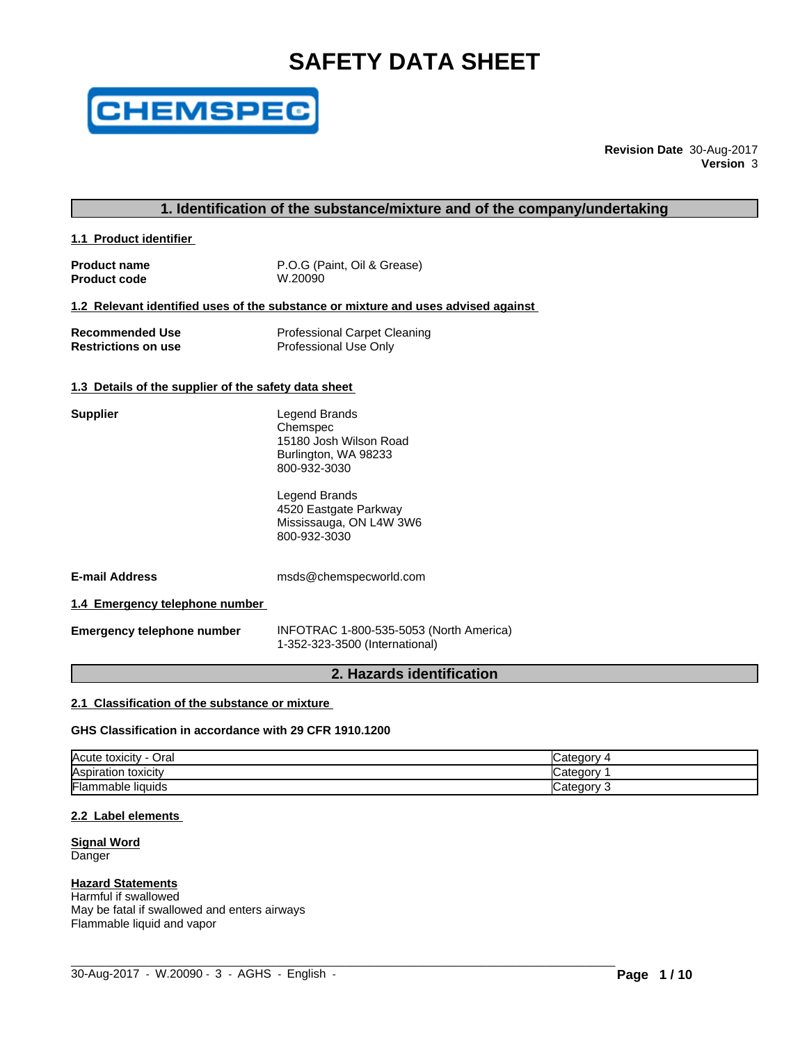# **SAFETY DATA SHEET**



**Revision Date** 30-Aug-2017 **Version** 3

# **1. Identification of the substance/mixture and of the company/undertaking**

**1.1 Product identifier** 

**Product name** P.O.G (Paint, Oil & Grease)<br> **Product code** W.20090 **Product code** 

#### **1.2 Relevant identified uses of the substance or mixture and uses advised against**

| <b>Recommended Use</b>     | <b>Professional Carpet Cleaning</b> |
|----------------------------|-------------------------------------|
| <b>Restrictions on use</b> | Professional Use Only               |

#### **1.3 Details of the supplier of the safety data sheet**

| <b>Supplier</b>                | Legend Brands<br>Chemspec<br>15180 Josh Wilson Road<br>Burlington, WA 98233<br>800-932-3030 |  |
|--------------------------------|---------------------------------------------------------------------------------------------|--|
|                                | Legend Brands<br>4520 Eastgate Parkway<br>Mississauga, ON L4W 3W6<br>800-932-3030           |  |
| <b>E-mail Address</b>          | msds@chemspecworld.com                                                                      |  |
| 1.4 Emergency telephone number |                                                                                             |  |

**Emergency telephone number** INFOTRAC 1-800-535-5053 (North America) 1-352-323-3500 (International)

# **2. Hazards identification**

# **2.1 Classification of the substance or mixture**

#### **GHS Classification in accordance with 29 CFR 1910.1200**

| Acute<br>Oral<br>toxicity                | Categor    |
|------------------------------------------|------------|
| <b>Aspi</b><br>toxicity<br>----<br>ation | ∵ategorس   |
| Flar<br>mable liquids                    | ∪ategory ∵ |

 $\_$  ,  $\_$  ,  $\_$  ,  $\_$  ,  $\_$  ,  $\_$  ,  $\_$  ,  $\_$  ,  $\_$  ,  $\_$  ,  $\_$  ,  $\_$  ,  $\_$  ,  $\_$  ,  $\_$  ,  $\_$  ,  $\_$  ,  $\_$  ,  $\_$  ,  $\_$  ,  $\_$  ,  $\_$  ,  $\_$  ,  $\_$  ,  $\_$  ,  $\_$  ,  $\_$  ,  $\_$  ,  $\_$  ,  $\_$  ,  $\_$  ,  $\_$  ,  $\_$  ,  $\_$  ,  $\_$  ,  $\_$  ,  $\_$  ,

#### **2.2 Label elements**

**Signal Word** Danger

#### **Hazard Statements**

Harmful if swallowed May be fatal if swallowed and enters airways Flammable liquid and vapor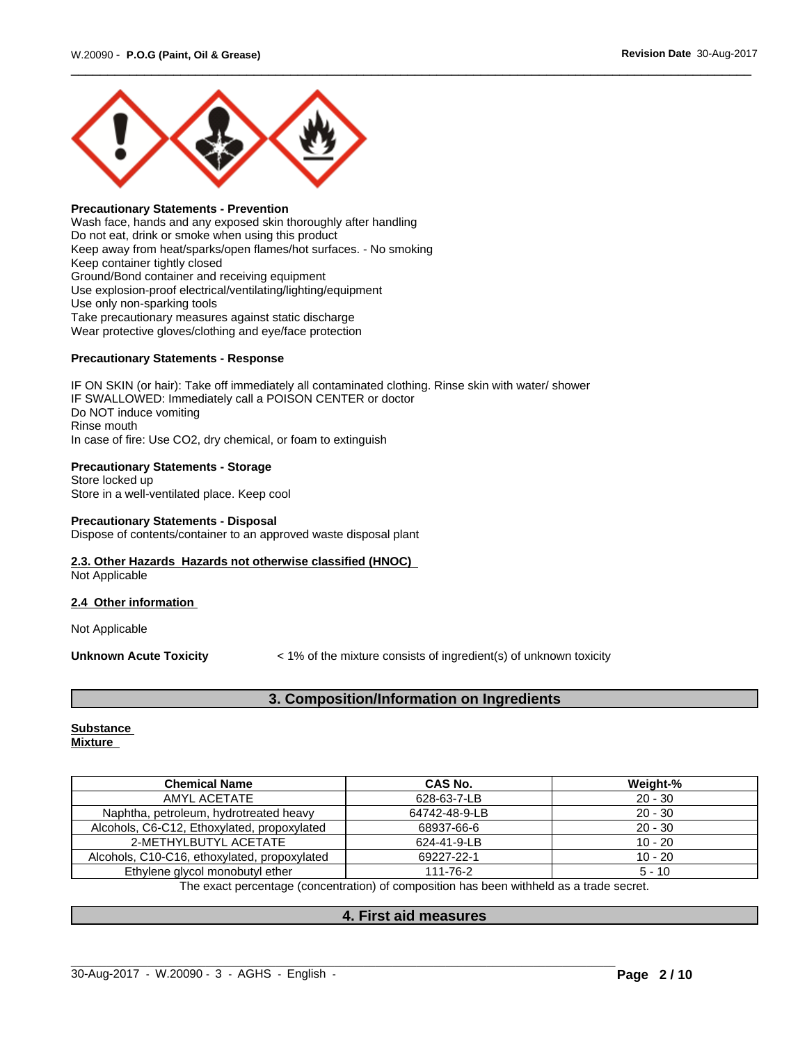

### **Precautionary Statements - Prevention**

Wash face, hands and any exposed skin thoroughly after handling Do not eat, drink or smoke when using this product Keep away from heat/sparks/open flames/hot surfaces. - No smoking Keep container tightly closed Ground/Bond container and receiving equipment Use explosion-proof electrical/ventilating/lighting/equipment Use only non-sparking tools Take precautionary measures against static discharge Wear protective gloves/clothing and eye/face protection

#### **Precautionary Statements - Response**

IF ON SKIN (or hair): Take off immediately all contaminated clothing. Rinse skin with water/ shower IF SWALLOWED: Immediately call a POISON CENTER or doctor Do NOT induce vomiting Rinse mouth In case of fire: Use CO2, dry chemical, or foam to extinguish

#### **Precautionary Statements - Storage**

Store locked up Store in a well-ventilated place. Keep cool

#### **Precautionary Statements - Disposal**

Dispose of contents/container to an approved waste disposal plant

# **2.3. Other Hazards Hazards not otherwise classified (HNOC)**

Not Applicable

#### **2.4 Other information**

Not Applicable

**Unknown Acute Toxicity**  $\lt$  1% of the mixture consists of ingredient(s) of unknown toxicity

# **3. Composition/Information on Ingredients**

#### **Substance Mixture**

| <b>Chemical Name</b>                         | <b>CAS No.</b> | Weight-%  |
|----------------------------------------------|----------------|-----------|
| AMYL ACETATE                                 | 628-63-7-LB    | $20 - 30$ |
| Naphtha, petroleum, hydrotreated heavy       | 64742-48-9-LB  | $20 - 30$ |
| Alcohols, C6-C12, Ethoxylated, propoxylated  | 68937-66-6     | $20 - 30$ |
| 2-METHYLBUTYL ACETATE                        | 624-41-9-LB    | $10 - 20$ |
| Alcohols, C10-C16, ethoxylated, propoxylated | 69227-22-1     | $10 - 20$ |
| Ethylene glycol monobutyl ether              | 111-76-2       | $5 - 10$  |

The exact percentage (concentration) of composition has been withheld as a trade secret.

#### **4. First aid measures**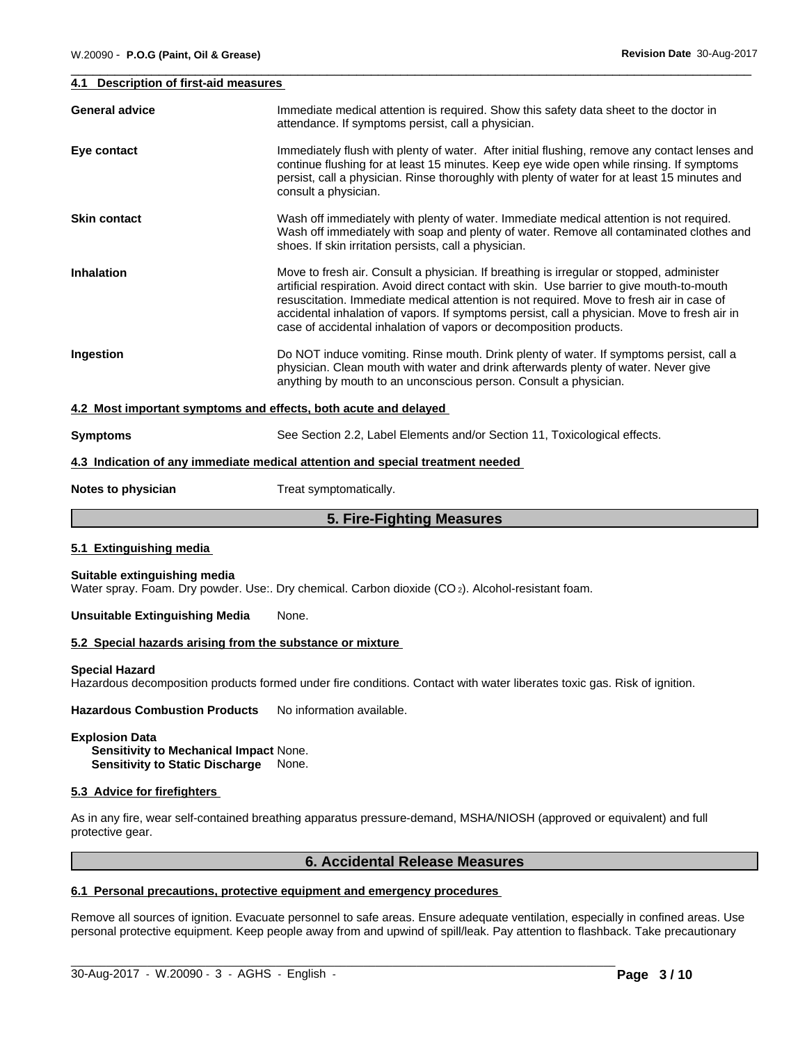#### **4.1 Description of first-aid measures**

| <b>General advice</b>                                           | Immediate medical attention is required. Show this safety data sheet to the doctor in<br>attendance. If symptoms persist, call a physician.                                                                                                                                                                                                                                                                                                              |
|-----------------------------------------------------------------|----------------------------------------------------------------------------------------------------------------------------------------------------------------------------------------------------------------------------------------------------------------------------------------------------------------------------------------------------------------------------------------------------------------------------------------------------------|
| Eye contact                                                     | Immediately flush with plenty of water. After initial flushing, remove any contact lenses and<br>continue flushing for at least 15 minutes. Keep eye wide open while rinsing. If symptoms<br>persist, call a physician. Rinse thoroughly with plenty of water for at least 15 minutes and<br>consult a physician.                                                                                                                                        |
| <b>Skin contact</b>                                             | Wash off immediately with plenty of water. Immediate medical attention is not required.<br>Wash off immediately with soap and plenty of water. Remove all contaminated clothes and<br>shoes. If skin irritation persists, call a physician.                                                                                                                                                                                                              |
| <b>Inhalation</b>                                               | Move to fresh air. Consult a physician. If breathing is irregular or stopped, administer<br>artificial respiration. Avoid direct contact with skin. Use barrier to give mouth-to-mouth<br>resuscitation. Immediate medical attention is not required. Move to fresh air in case of<br>accidental inhalation of vapors. If symptoms persist, call a physician. Move to fresh air in<br>case of accidental inhalation of vapors or decomposition products. |
| Ingestion                                                       | Do NOT induce vomiting. Rinse mouth. Drink plenty of water. If symptoms persist, call a<br>physician. Clean mouth with water and drink afterwards plenty of water. Never give<br>anything by mouth to an unconscious person. Consult a physician.                                                                                                                                                                                                        |
| 4.2 Most important symptoms and effects, both acute and delayed |                                                                                                                                                                                                                                                                                                                                                                                                                                                          |
| <b>Symptoms</b>                                                 | See Section 2.2, Label Elements and/or Section 11, Toxicological effects.                                                                                                                                                                                                                                                                                                                                                                                |
|                                                                 | 4.3 Indication of any immediate medical attention and special treatment needed                                                                                                                                                                                                                                                                                                                                                                           |
| Notes to physician                                              | Treat symptomatically.                                                                                                                                                                                                                                                                                                                                                                                                                                   |
|                                                                 |                                                                                                                                                                                                                                                                                                                                                                                                                                                          |

# **5. Fire-Fighting Measures**

#### **5.1 Extinguishing media**

#### **Suitable extinguishing media**

Water spray. Foam. Dry powder. Use:. Dry chemical. Carbon dioxide (CO2). Alcohol-resistant foam.

### **Unsuitable Extinguishing Media** None.

#### **5.2 Special hazards arising from the substance or mixture**

#### **Special Hazard**

Hazardous decomposition products formed under fire conditions. Contact with water liberates toxic gas. Risk of ignition.

**Hazardous Combustion Products** No information available.

#### **Explosion Data**

**Sensitivity to Mechanical Impact** None. **Sensitivity to Static Discharge** None.

#### **5.3 Advice for firefighters**

As in any fire, wear self-contained breathing apparatus pressure-demand, MSHA/NIOSH (approved or equivalent) and full protective gear.

# **6. Accidental Release Measures**

# **6.1 Personal precautions, protective equipment and emergency procedures**

Remove all sources of ignition. Evacuate personnel to safe areas.Ensure adequate ventilation, especially in confined areas. Use personal protective equipment. Keep people away from and upwind of spill/leak. Pay attention to flashback. Take precautionary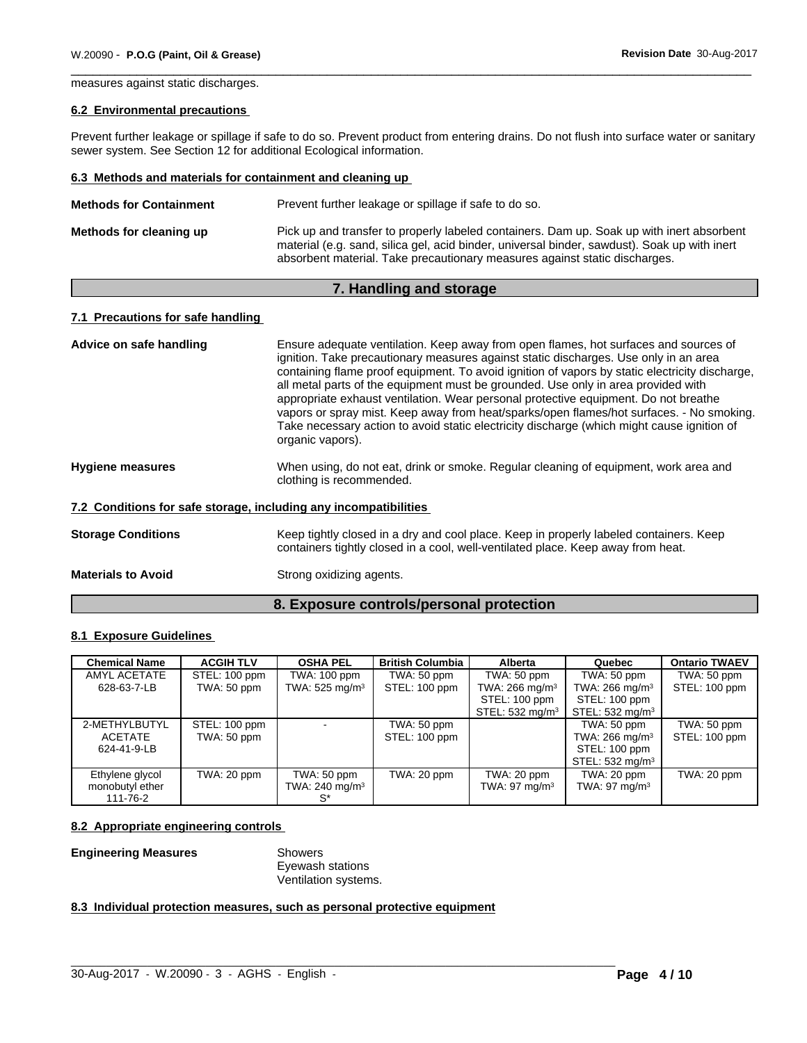measures against static discharges.

#### **6.2 Environmental precautions**

Prevent further leakage or spillage if safe to do so. Prevent product from entering drains. Do not flush into surface water or sanitary sewer system. See Section 12 for additional Ecological information.

#### **6.3 Methods and materials for containment and cleaning up**

| <b>Methods for Containment</b> | Prevent further leakage or spillage if safe to do so.                                                                                                                                                                                                                   |
|--------------------------------|-------------------------------------------------------------------------------------------------------------------------------------------------------------------------------------------------------------------------------------------------------------------------|
| Methods for cleaning up        | Pick up and transfer to properly labeled containers. Dam up. Soak up with inert absorbent<br>material (e.g. sand, silica gel, acid binder, universal binder, sawdust). Soak up with inert<br>absorbent material. Take precautionary measures against static discharges. |

# **7. Handling and storage**

# **7.1 Precautions for safe handling**

| Advice on safe handling                                          | Ensure adequate ventilation. Keep away from open flames, hot surfaces and sources of<br>ignition. Take precautionary measures against static discharges. Use only in an area<br>containing flame proof equipment. To avoid ignition of vapors by static electricity discharge,<br>all metal parts of the equipment must be grounded. Use only in area provided with<br>appropriate exhaust ventilation. Wear personal protective equipment. Do not breathe<br>vapors or spray mist. Keep away from heat/sparks/open flames/hot surfaces. - No smoking.<br>Take necessary action to avoid static electricity discharge (which might cause ignition of<br>organic vapors). |
|------------------------------------------------------------------|--------------------------------------------------------------------------------------------------------------------------------------------------------------------------------------------------------------------------------------------------------------------------------------------------------------------------------------------------------------------------------------------------------------------------------------------------------------------------------------------------------------------------------------------------------------------------------------------------------------------------------------------------------------------------|
| <b>Hygiene measures</b>                                          | When using, do not eat, drink or smoke. Regular cleaning of equipment, work area and<br>clothing is recommended.                                                                                                                                                                                                                                                                                                                                                                                                                                                                                                                                                         |
| 7.2 Conditions for safe storage, including any incompatibilities |                                                                                                                                                                                                                                                                                                                                                                                                                                                                                                                                                                                                                                                                          |
| <b>Storage Conditions</b>                                        | Keep tightly closed in a dry and cool place. Keep in properly labeled containers. Keep<br>containers tightly closed in a cool, well-ventilated place. Keep away from heat.                                                                                                                                                                                                                                                                                                                                                                                                                                                                                               |
| <b>Materials to Avoid</b>                                        | Strong oxidizing agents.                                                                                                                                                                                                                                                                                                                                                                                                                                                                                                                                                                                                                                                 |

# **8. Exposure controls/personal protection**

# **8.1 Exposure Guidelines**

| <b>Chemical Name</b> | <b>ACGIH TLV</b> | <b>OSHA PEL</b>            | <b>British Columbia</b> | <b>Alberta</b>               | Quebec                       | <b>Ontario TWAEV</b> |
|----------------------|------------------|----------------------------|-------------------------|------------------------------|------------------------------|----------------------|
| AMYL ACETATE         | STEL: 100 ppm    | TWA: 100 ppm               | TWA: 50 ppm             | TWA: 50 ppm                  | TWA: 50 ppm                  | TWA: 50 ppm          |
| 628-63-7-LB          | TWA: 50 ppm      | TWA: $525 \text{ mg/m}^3$  | STEL: 100 ppm           | TWA: $266$ mg/m <sup>3</sup> | TWA: $266$ mg/m <sup>3</sup> | STEL: 100 ppm        |
|                      |                  |                            |                         | STEL: 100 ppm                | STEL: 100 ppm                |                      |
|                      |                  |                            |                         | STEL: 532 mg/m <sup>3</sup>  | STEL: $532 \text{ mg/m}^3$   |                      |
| 2-METHYLBUTYL        | STEL: 100 ppm    |                            | TWA: 50 ppm             |                              | TWA: 50 ppm                  | TWA: 50 ppm          |
| <b>ACETATE</b>       | TWA: 50 ppm      |                            | STEL: 100 ppm           |                              | TWA: 266 mg/m <sup>3</sup>   | STEL: 100 ppm        |
| 624-41-9-LB          |                  |                            |                         |                              | STEL: 100 ppm                |                      |
|                      |                  |                            |                         |                              | STEL: $532 \text{ mg/m}^3$   |                      |
| Ethylene glycol      | TWA: 20 ppm      | TWA: 50 ppm                | TWA: 20 ppm             | TWA: 20 ppm                  | TWA: 20 ppm                  | TWA: 20 ppm          |
| monobutyl ether      |                  | TWA: 240 mg/m <sup>3</sup> |                         | TWA: 97 mg/m $3$             | TWA: $97 \text{ mg/m}^3$     |                      |
| 111-76-2             |                  |                            |                         |                              |                              |                      |

 $\_$  ,  $\_$  ,  $\_$  ,  $\_$  ,  $\_$  ,  $\_$  ,  $\_$  ,  $\_$  ,  $\_$  ,  $\_$  ,  $\_$  ,  $\_$  ,  $\_$  ,  $\_$  ,  $\_$  ,  $\_$  ,  $\_$  ,  $\_$  ,  $\_$  ,  $\_$  ,  $\_$  ,  $\_$  ,  $\_$  ,  $\_$  ,  $\_$  ,  $\_$  ,  $\_$  ,  $\_$  ,  $\_$  ,  $\_$  ,  $\_$  ,  $\_$  ,  $\_$  ,  $\_$  ,  $\_$  ,  $\_$  ,  $\_$  ,

#### **8.2 Appropriate engineering controls**

#### **Engineering Measures** Showers

Eyewash stations Ventilation systems.

# **8.3 Individual protection measures, such as personal protective equipment**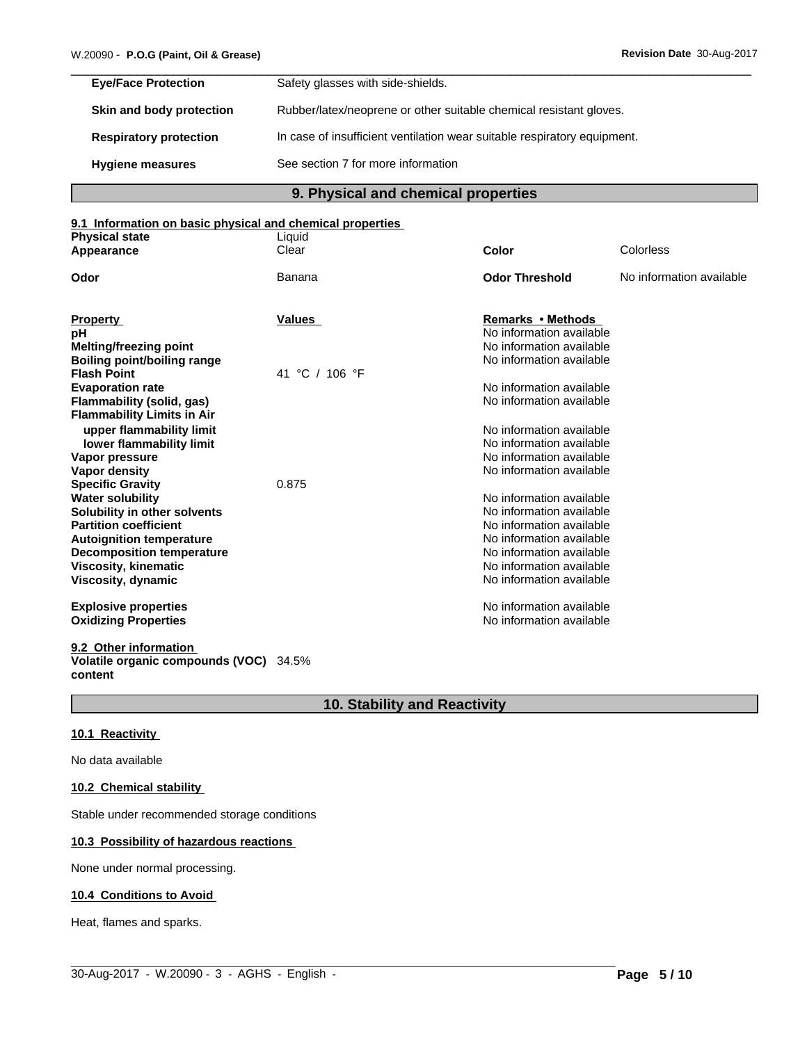| <b>Eye/Face Protection</b>    | Safety glasses with side-shields.                                        |
|-------------------------------|--------------------------------------------------------------------------|
| Skin and body protection      | Rubber/latex/neoprene or other suitable chemical resistant gloves.       |
| <b>Respiratory protection</b> | In case of insufficient ventilation wear suitable respiratory equipment. |
| <b>Hygiene measures</b>       | See section 7 for more information                                       |

**9. Physical and chemical properties**

#### **9.1 Information on basic physical and chemical properties**

| <b>Physical state</b>                             | Liquid            |                          |                          |
|---------------------------------------------------|-------------------|--------------------------|--------------------------|
| Appearance                                        | Clear             | Color                    | Colorless                |
| Odor                                              | Banana            | <b>Odor Threshold</b>    | No information available |
|                                                   |                   |                          |                          |
| <b>Property</b>                                   | Values            | <b>Remarks • Methods</b> |                          |
| рH                                                |                   | No information available |                          |
| Melting/freezing point                            |                   | No information available |                          |
| <b>Boiling point/boiling range</b>                |                   | No information available |                          |
| <b>Flash Point</b>                                | °C / 106 °F<br>41 |                          |                          |
| <b>Evaporation rate</b>                           |                   | No information available |                          |
| Flammability (solid, gas)                         |                   | No information available |                          |
| <b>Flammability Limits in Air</b>                 |                   |                          |                          |
| upper flammability limit                          |                   | No information available |                          |
| lower flammability limit                          |                   | No information available |                          |
| Vapor pressure                                    |                   | No information available |                          |
| Vapor density                                     |                   | No information available |                          |
| <b>Specific Gravity</b>                           | 0.875             |                          |                          |
| <b>Water solubility</b>                           |                   | No information available |                          |
| Solubility in other solvents                      |                   | No information available |                          |
| <b>Partition coefficient</b>                      |                   | No information available |                          |
| <b>Autoignition temperature</b>                   |                   | No information available |                          |
| <b>Decomposition temperature</b>                  |                   | No information available |                          |
| <b>Viscosity, kinematic</b>                       |                   | No information available |                          |
| Viscosity, dynamic                                |                   | No information available |                          |
| <b>Explosive properties</b>                       |                   | No information available |                          |
| <b>Oxidizing Properties</b>                       |                   | No information available |                          |
| 9.2 Other information                             |                   |                          |                          |
| Volatile organic compounds (VOC) 34.5%<br>content |                   |                          |                          |

# **10. Stability and Reactivity**

 $\_$  ,  $\_$  ,  $\_$  ,  $\_$  ,  $\_$  ,  $\_$  ,  $\_$  ,  $\_$  ,  $\_$  ,  $\_$  ,  $\_$  ,  $\_$  ,  $\_$  ,  $\_$  ,  $\_$  ,  $\_$  ,  $\_$  ,  $\_$  ,  $\_$  ,  $\_$  ,  $\_$  ,  $\_$  ,  $\_$  ,  $\_$  ,  $\_$  ,  $\_$  ,  $\_$  ,  $\_$  ,  $\_$  ,  $\_$  ,  $\_$  ,  $\_$  ,  $\_$  ,  $\_$  ,  $\_$  ,  $\_$  ,  $\_$  ,

#### **10.1 Reactivity**

No data available

#### **10.2 Chemical stability**

Stable under recommended storage conditions

# **10.3 Possibility of hazardous reactions**

None under normal processing.

# **10.4 Conditions to Avoid**

Heat, flames and sparks.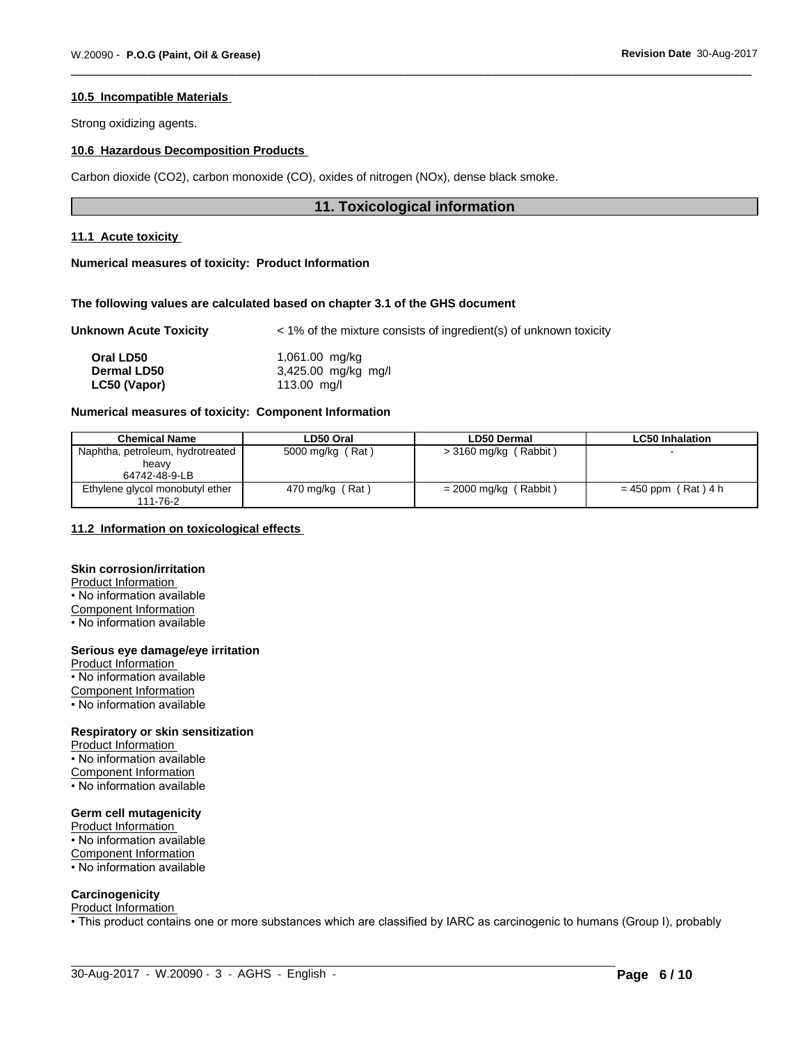#### **10.5 Incompatible Materials**

Strong oxidizing agents.

# **10.6 Hazardous Decomposition Products**

Carbon dioxide (CO2), carbon monoxide (CO), oxides of nitrogen (NOx), dense black smoke.

### **11. Toxicological information**

#### **11.1 Acute toxicity**

#### **Numerical measures of toxicity: Product Information**

#### **The following values are calculated based on chapter 3.1 of the GHS document**

#### **Unknown Acute Toxicity**  $\leq 1\%$  of the mixture consists of ingredient(s) of unknown toxicity

| Oral LD50          | 1,061.00 mg/kg        |
|--------------------|-----------------------|
| <b>Dermal LD50</b> | $3,425.00$ mg/kg mg/l |
| LC50 (Vapor)       | 113.00 $mq/l$         |

#### **Numerical measures of toxicity: Component Information**

| <b>Chemical Name</b>                        | LD50 Oral        | LD50 Dermal             | <b>LC50 Inhalation</b> |
|---------------------------------------------|------------------|-------------------------|------------------------|
| Naphtha, petroleum, hydrotreated            | 5000 mg/kg (Rat) | $>$ 3160 mg/kg (Rabbit) |                        |
| heavy                                       |                  |                         |                        |
| 64742-48-9-LB                               |                  |                         |                        |
| Ethylene glycol monobutyl ether<br>111-76-2 | 470 mg/kg (Rat)  | $= 2000$ mg/kg (Rabbit) | $= 450$ ppm (Rat) 4 h  |

#### **11.2 Information on toxicologicaleffects**

# **Skin corrosion/irritation**

Product Information

• No information available

Component Information

• No information available

# **Serious eye damage/eye irritation**

Product Information • No information available Component Information • No information available

#### **Respiratory or skin sensitization**

Product Information • No information available Component Information • No information available

#### **Germ cell mutagenicity**

Product Information • No information available Component Information • No information available

#### **Carcinogenicity**

# Product Information

• This product contains one or more substances which are classified by IARC as carcinogenic to humans (Group I), probably<br>
30-Aug-2017 - W.20090 - 3 - AGHS - English - **Page 6 / 10**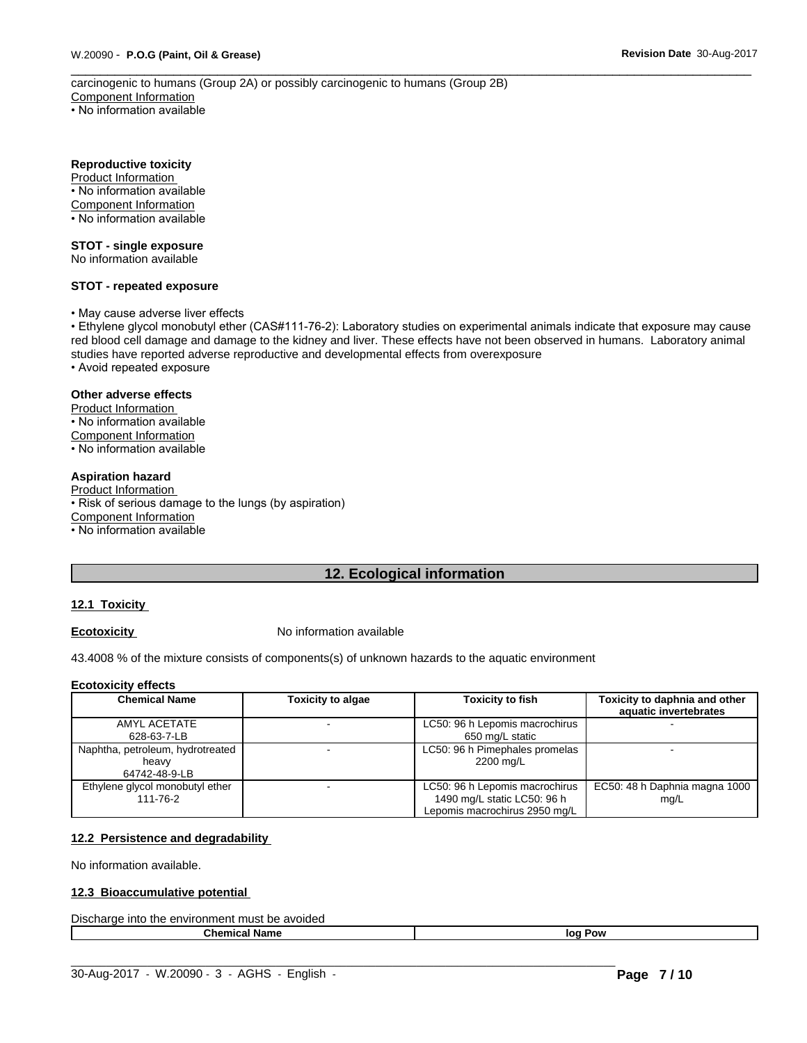carcinogenic to humans (Group 2A) or possibly carcinogenic to humans (Group 2B) Component Information • No information available

**Reproductive toxicity**

Product Information • No information available Component Information • No information available

#### **STOT - single exposure**

No information available

#### **STOT - repeated exposure**

• May cause adverse liver effects

• Ethylene glycol monobutyl ether (CAS#111-76-2): Laboratory studies on experimental animals indicate that exposure may cause red blood cell damage and damage to the kidney and liver. These effects have not been observed in humans. Laboratory animal studies have reported adverse reproductive and developmental effects from overexposure

• Avoid repeated exposure

#### **Other adverse effects**

Product Information • No information available Component Information

• No information available

#### **Aspiration hazard**

Product Information • Risk of serious damage to the lungs (by aspiration) Component Information • No information available

# **12. Ecological information**

#### **12.1 Toxicity**

**Ecotoxicity No information available** 

43.4008 % of the mixture consists of components(s) of unknown hazards to the aquatic environment

#### **Ecotoxicity effects**

| <b>Chemical Name</b>                                       | <b>Toxicity to algae</b> | <b>Toxicity to fish</b>                                                                        | Toxicity to daphnia and other<br>aquatic invertebrates |
|------------------------------------------------------------|--------------------------|------------------------------------------------------------------------------------------------|--------------------------------------------------------|
| AMYL ACETATE<br>628-63-7-LB                                |                          | LC50: 96 h Lepomis macrochirus<br>650 mg/L static                                              |                                                        |
| Naphtha, petroleum, hydrotreated<br>heavy<br>64742-48-9-LB |                          | LC50: 96 h Pimephales promelas<br>2200 mg/L                                                    |                                                        |
| Ethylene glycol monobutyl ether<br>111-76-2                |                          | LC50: 96 h Lepomis macrochirus<br>1490 mg/L static LC50: 96 h<br>Lepomis macrochirus 2950 mg/L | EC50: 48 h Daphnia magna 1000<br>mq/L                  |

#### **12.2 Persistence and degradability**

No information available.

#### **12.3 Bioaccumulative potential**

| Discl<br>avoidec<br>he<br>.nust<br>into<br>⊶rae.<br>nment<br>me<br>enviror<br>$\sim$ |              |
|--------------------------------------------------------------------------------------|--------------|
| Name<br>'hon                                                                         | . Pow<br>loc |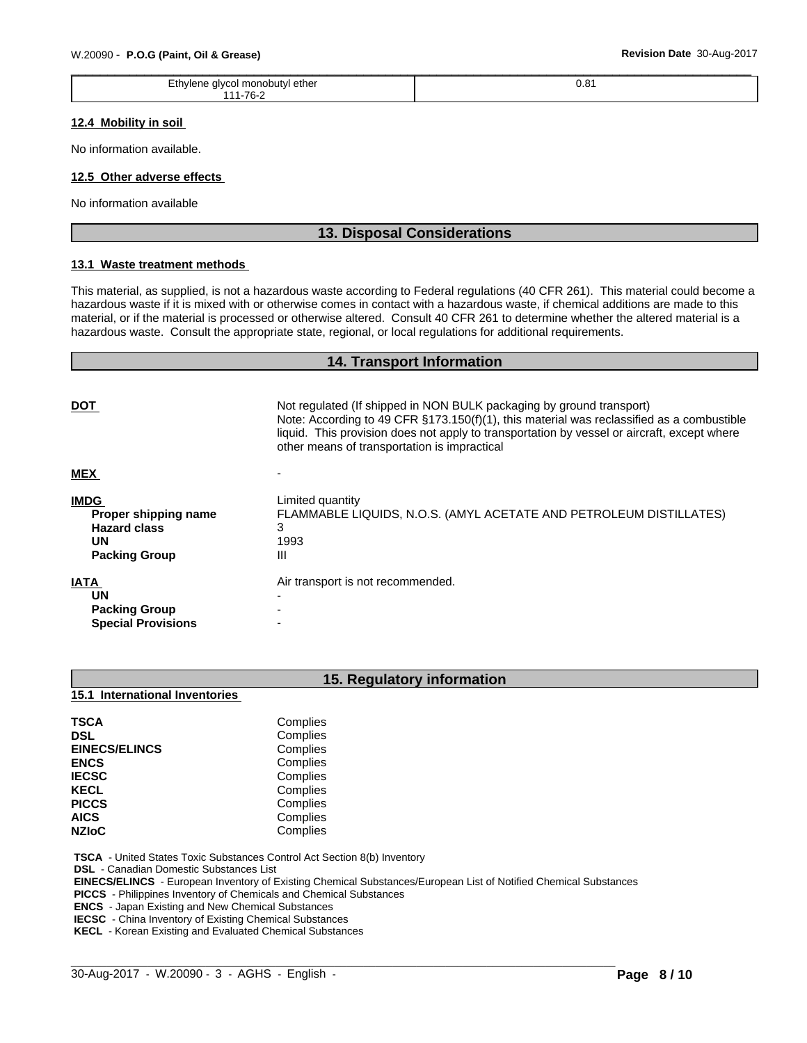| W.20090 - P.O.G (Paint, Oil & Grease)       | Revision Date 30-Aug-2017 |  |  |  |
|---------------------------------------------|---------------------------|--|--|--|
| Ethylene glycol monobutyl ether<br>111-76-2 | 0.81                      |  |  |  |

### **12.4 Mobility in soil**

No information available.

#### **12.5 Other adverse effects**

No information available

# **13. Disposal Considerations**

### **13.1 Waste treatment methods**

This material, as supplied, is not a hazardous waste according to Federal regulations (40 CFR 261). This material could become a hazardous waste if it is mixed with or otherwise comes in contact with a hazardous waste, if chemical additions are made to this material, or if the material is processed or otherwise altered. Consult 40 CFR 261 to determine whether the altered material is a hazardous waste. Consult the appropriate state, regional, or local regulations for additional requirements.

# **14. Transport Information**

| <b>DOT</b>                                                                                      | Not regulated (If shipped in NON BULK packaging by ground transport)<br>Note: According to 49 CFR $\S173.150(f)(1)$ , this material was reclassified as a combustible<br>liquid. This provision does not apply to transportation by vessel or aircraft, except where<br>other means of transportation is impractical |
|-------------------------------------------------------------------------------------------------|----------------------------------------------------------------------------------------------------------------------------------------------------------------------------------------------------------------------------------------------------------------------------------------------------------------------|
| <b>MEX</b>                                                                                      |                                                                                                                                                                                                                                                                                                                      |
| <b>IMDG</b><br>Proper shipping name<br><b>Hazard class</b><br><b>UN</b><br><b>Packing Group</b> | Limited quantity<br>FLAMMABLE LIQUIDS, N.O.S. (AMYL ACETATE AND PETROLEUM DISTILLATES)<br>з<br>1993<br>Ш                                                                                                                                                                                                             |
| <b>IATA</b><br><b>UN</b><br><b>Packing Group</b><br><b>Special Provisions</b>                   | Air transport is not recommended.                                                                                                                                                                                                                                                                                    |

# **15. Regulatory information**

**15.1 International Inventories**

| <b>TSCA</b>          | Complies |  |
|----------------------|----------|--|
| <b>DSL</b>           | Complies |  |
| <b>EINECS/ELINCS</b> | Complies |  |
| <b>ENCS</b>          | Complies |  |
| <b>IECSC</b>         | Complies |  |
| <b>KECL</b>          | Complies |  |
| <b>PICCS</b>         | Complies |  |
| <b>AICS</b>          | Complies |  |
| <b>NZIoC</b>         | Complies |  |

 **TSCA** - United States Toxic Substances Control Act Section 8(b) Inventory

 **DSL** - Canadian Domestic Substances List

 **EINECS/ELINCS** - European Inventory of Existing Chemical Substances/European List of Notified Chemical Substances

 $\_$  ,  $\_$  ,  $\_$  ,  $\_$  ,  $\_$  ,  $\_$  ,  $\_$  ,  $\_$  ,  $\_$  ,  $\_$  ,  $\_$  ,  $\_$  ,  $\_$  ,  $\_$  ,  $\_$  ,  $\_$  ,  $\_$  ,  $\_$  ,  $\_$  ,  $\_$  ,  $\_$  ,  $\_$  ,  $\_$  ,  $\_$  ,  $\_$  ,  $\_$  ,  $\_$  ,  $\_$  ,  $\_$  ,  $\_$  ,  $\_$  ,  $\_$  ,  $\_$  ,  $\_$  ,  $\_$  ,  $\_$  ,  $\_$  ,

 **PICCS** - Philippines Inventory of Chemicals and Chemical Substances

 **ENCS** - Japan Existing and New Chemical Substances

**IECSC** - China Inventory of Existing Chemical Substances

 **KECL** - Korean Existing and Evaluated Chemical Substances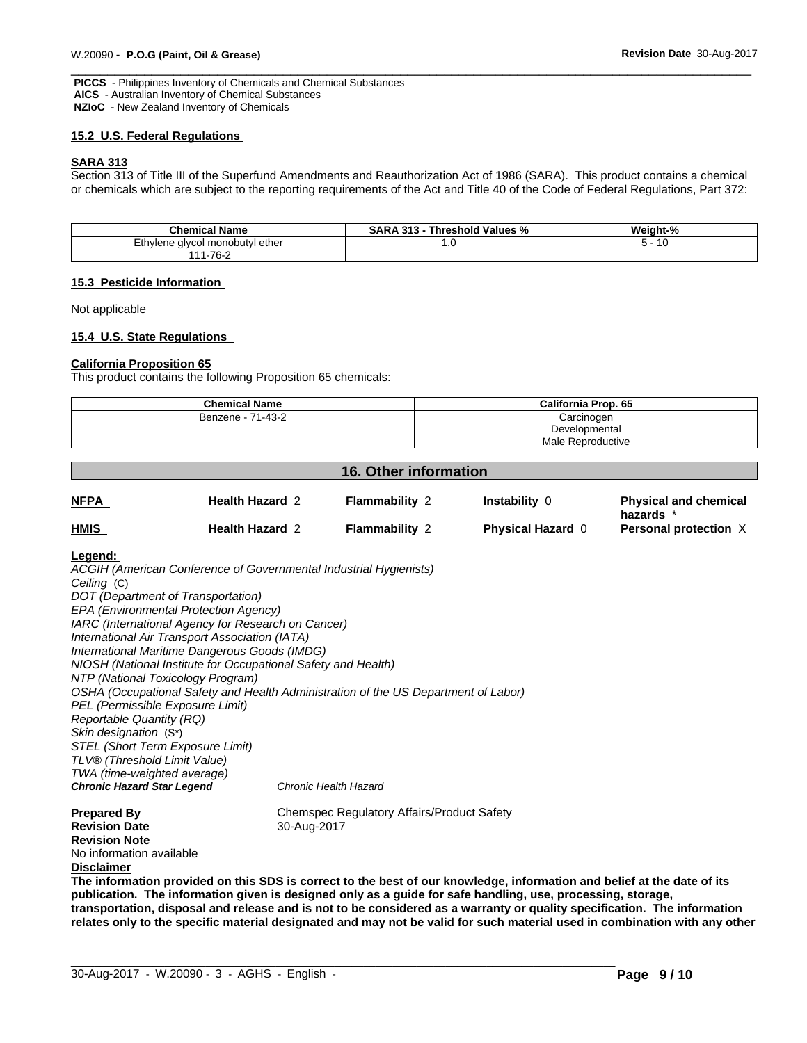**PICCS** - Philippines Inventory of Chemicals and Chemical Substances  **AICS** - Australian Inventory of Chemical Substances  **NZIoC** - New Zealand Inventory of Chemicals

#### **15.2 U.S. Federal Regulations**

#### **SARA 313**

Section 313 of Title III of the Superfund Amendments and Reauthorization Act of 1986 (SARA). This product contains a chemical or chemicals which are subject to the reporting requirements of the Act and Title 40 of the Code of Federal Regulations, Part 372:

| <b>Chemical Name</b>                                         | 313<br>Threshold Values %<br>5AR/ | $\sim$ $\sim$<br>Weight-<br>70 |  |
|--------------------------------------------------------------|-----------------------------------|--------------------------------|--|
| <b>Eth</b><br>I monobutvl ether<br>alvcol<br>'Iana<br>- 11 C | ن.                                | ιv<br>u                        |  |
| 1-76-2<br>I <i>A A</i>                                       |                                   |                                |  |

#### **15.3 Pesticide Information**

Not applicable

#### **15.4 U.S. State Regulations**

#### **California Proposition 65**

This product contains the following Proposition 65 chemicals:

| <b>Chemical Name</b> | California Prop. 65 |
|----------------------|---------------------|
| Benzene - 71-43-2    | Carcinogen          |
|                      | Developmental       |
|                      | Male Reproductive   |

| <b>16. Other information</b> |                        |                       |                          |                                           |
|------------------------------|------------------------|-----------------------|--------------------------|-------------------------------------------|
| <b>NFPA</b>                  | <b>Health Hazard 2</b> | <b>Flammability 2</b> | <b>Instability 0</b>     | <b>Physical and chemical</b><br>hazards * |
| <b>HMIS</b>                  | <b>Health Hazard 2</b> | <b>Flammability 2</b> | <b>Physical Hazard 0</b> | <b>Personal protection X</b>              |

#### **Legend:**

*ACGIH (American Conference of Governmental Industrial Hygienists) Ceiling* (C) *DOT (Department of Transportation) EPA (Environmental Protection Agency) IARC (International Agency for Research on Cancer) International Air Transport Association (IATA) International Maritime Dangerous Goods (IMDG) NIOSH (National Institute for Occupational Safety and Health) NTP (National Toxicology Program) OSHA (Occupational Safety and Health Administration of the US Department of Labor) PEL (Permissible Exposure Limit) Reportable Quantity (RQ) Skin designation* (S\*) *STEL (Short Term Exposure Limit) TLV® (Threshold Limit Value) TWA (time-weighted average) Chronic Hazard Star Legend Chronic Health Hazard*

**Revision Date** 30-Aug-2017 **Revision Note** No information available **Disclaimer**

**Prepared By Chemspec Regulatory Affairs/Product Safety** 

The information provided on this SDS is correct to the best of our knowledge, information and belief at the date of its **publication. The information given isdesigned only as a guide for safe handling, use, processing, storage,** transportation, disposal and release and is not to be considered as a warranty or quality specification. The information relates only to the specific material designated and may not be valid for such material used in combination with any other